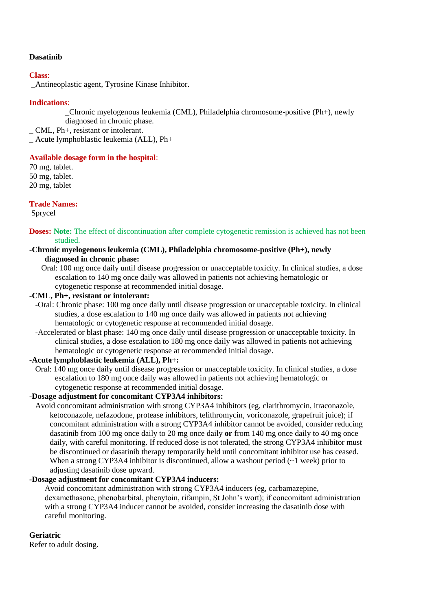### **Dasatinib**

### **Class**:

\_Antineoplastic agent, Tyrosine Kinase Inhibitor.

# **Indications**:

\_Chronic myelogenous leukemia (CML), Philadelphia chromosome-positive (Ph+), newly diagnosed in chronic phase.

\_ CML, Ph+, resistant or intolerant.

\_ Acute lymphoblastic leukemia (ALL), Ph+

## **Available dosage form in the hospital**:

70 mg, tablet. 50 mg, tablet. 20 mg, tablet

**Trade Names:**

Sprycel

**Doses:** Note: The effect of discontinuation after complete cytogenetic remission is achieved has not been studied.

## **-Chronic myelogenous leukemia (CML), Philadelphia chromosome-positive (Ph+), newly diagnosed in chronic phase:**

 Oral: 100 mg once daily until disease progression or unacceptable toxicity. In clinical studies, a dose escalation to 140 mg once daily was allowed in patients not achieving hematologic or cytogenetic response at recommended initial dosage.

## **-CML, Ph+, resistant or intolerant:**

- -Oral: Chronic phase: 100 mg once daily until disease progression or unacceptable toxicity. In clinical studies, a dose escalation to 140 mg once daily was allowed in patients not achieving hematologic or cytogenetic response at recommended initial dosage.
- -Accelerated or blast phase: 140 mg once daily until disease progression or unacceptable toxicity. In clinical studies, a dose escalation to 180 mg once daily was allowed in patients not achieving hematologic or cytogenetic response at recommended initial dosage.

### **-Acute lymphoblastic leukemia (ALL), Ph+:**

 Oral: 140 mg once daily until disease progression or unacceptable toxicity. In clinical studies, a dose escalation to 180 mg once daily was allowed in patients not achieving hematologic or cytogenetic response at recommended initial dosage.

# -**Dosage adjustment for concomitant CYP3A4 inhibitors:**

 Avoid concomitant administration with strong CYP3A4 inhibitors (eg, clarithromycin, itraconazole, ketoconazole, nefazodone, protease inhibitors, telithromycin, voriconazole, grapefruit juice); if concomitant administration with a strong CYP3A4 inhibitor cannot be avoided, consider reducing dasatinib from 100 mg once daily to 20 mg once daily **or** from 140 mg once daily to 40 mg once daily, with careful monitoring. If reduced dose is not tolerated, the strong CYP3A4 inhibitor must be discontinued or dasatinib therapy temporarily held until concomitant inhibitor use has ceased. When a strong CYP3A4 inhibitor is discontinued, allow a washout period  $(-1$  week) prior to adjusting dasatinib dose upward.

# **-Dosage adjustment for concomitant CYP3A4 inducers:**

Avoid concomitant administration with strong CYP3A4 inducers (eg, carbamazepine, dexamethasone, phenobarbital, phenytoin, rifampin, St John's wort); if concomitant administration with a strong CYP3A4 inducer cannot be avoided, consider increasing the dasatinib dose with careful monitoring.

### **Geriatric**

Refer to adult dosing.